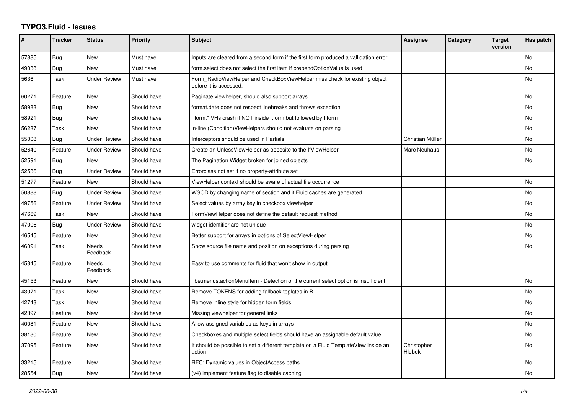## **TYPO3.Fluid - Issues**

| ∦     | <b>Tracker</b> | <b>Status</b>            | <b>Priority</b> | Subject                                                                                              | <b>Assignee</b>       | Category | <b>Target</b><br>version | Has patch |
|-------|----------------|--------------------------|-----------------|------------------------------------------------------------------------------------------------------|-----------------------|----------|--------------------------|-----------|
| 57885 | Bug            | New                      | Must have       | Inputs are cleared from a second form if the first form produced a vallidation error                 |                       |          |                          | No        |
| 49038 | Bug            | New                      | Must have       | form select does not select the first item if prependOptionValue is used                             |                       |          |                          | No        |
| 5636  | Task           | <b>Under Review</b>      | Must have       | Form RadioViewHelper and CheckBoxViewHelper miss check for existing object<br>before it is accessed. |                       |          |                          | No        |
| 60271 | Feature        | New                      | Should have     | Paginate viewhelper, should also support arrays                                                      |                       |          |                          | No        |
| 58983 | Bug            | New                      | Should have     | format.date does not respect linebreaks and throws exception                                         |                       |          |                          | No.       |
| 58921 | Bug            | New                      | Should have     | f:form.* VHs crash if NOT inside f:form but followed by f:form                                       |                       |          |                          | No        |
| 56237 | Task           | New                      | Should have     | in-line (Condition) View Helpers should not evaluate on parsing                                      |                       |          |                          | No        |
| 55008 | Bug            | <b>Under Review</b>      | Should have     | Interceptors should be used in Partials                                                              | Christian Müller      |          |                          | No        |
| 52640 | Feature        | <b>Under Review</b>      | Should have     | Create an UnlessViewHelper as opposite to the IfViewHelper                                           | Marc Neuhaus          |          |                          | <b>No</b> |
| 52591 | Bug            | New                      | Should have     | The Pagination Widget broken for joined objects                                                      |                       |          |                          | No        |
| 52536 | Bug            | <b>Under Review</b>      | Should have     | Errorclass not set if no property-attribute set                                                      |                       |          |                          |           |
| 51277 | Feature        | <b>New</b>               | Should have     | ViewHelper context should be aware of actual file occurrence                                         |                       |          |                          | No        |
| 50888 | Bug            | Under Review             | Should have     | WSOD by changing name of section and if Fluid caches are generated                                   |                       |          |                          | No        |
| 49756 | Feature        | <b>Under Review</b>      | Should have     | Select values by array key in checkbox viewhelper                                                    |                       |          |                          | No        |
| 47669 | Task           | <b>New</b>               | Should have     | FormViewHelper does not define the default request method                                            |                       |          |                          | <b>No</b> |
| 47006 | Bug            | Under Review             | Should have     | widget identifier are not unique                                                                     |                       |          |                          | No        |
| 46545 | Feature        | <b>New</b>               | Should have     | Better support for arrays in options of SelectViewHelper                                             |                       |          |                          | No        |
| 46091 | Task           | <b>Needs</b><br>Feedback | Should have     | Show source file name and position on exceptions during parsing                                      |                       |          |                          | No        |
| 45345 | Feature        | <b>Needs</b><br>Feedback | Should have     | Easy to use comments for fluid that won't show in output                                             |                       |          |                          |           |
| 45153 | Feature        | New                      | Should have     | f:be.menus.actionMenuItem - Detection of the current select option is insufficient                   |                       |          |                          | No        |
| 43071 | Task           | <b>New</b>               | Should have     | Remove TOKENS for adding fallback teplates in B                                                      |                       |          |                          | No        |
| 42743 | Task           | New                      | Should have     | Remove inline style for hidden form fields                                                           |                       |          |                          | No        |
| 42397 | Feature        | New                      | Should have     | Missing viewhelper for general links                                                                 |                       |          |                          | No        |
| 40081 | Feature        | <b>New</b>               | Should have     | Allow assigned variables as keys in arrays                                                           |                       |          |                          | No        |
| 38130 | Feature        | New                      | Should have     | Checkboxes and multiple select fields should have an assignable default value                        |                       |          |                          | No        |
| 37095 | Feature        | New                      | Should have     | It should be possible to set a different template on a Fluid TemplateView inside an<br>action        | Christopher<br>Hlubek |          |                          | No        |
| 33215 | Feature        | New                      | Should have     | RFC: Dynamic values in ObjectAccess paths                                                            |                       |          |                          | No        |
| 28554 | Bug            | New                      | Should have     | (v4) implement feature flag to disable caching                                                       |                       |          |                          | No        |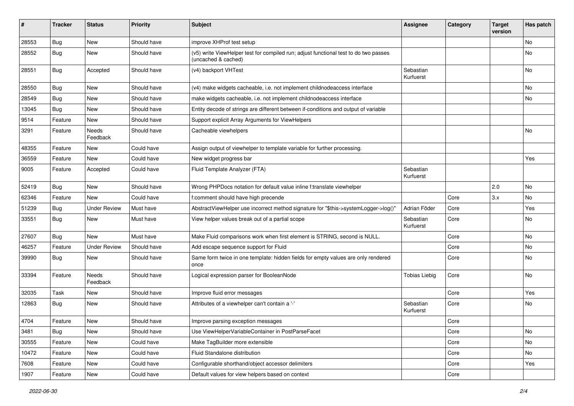| #     | <b>Tracker</b> | <b>Status</b>            | <b>Priority</b> | Subject                                                                                                     | Assignee               | Category | <b>Target</b><br>version | Has patch |
|-------|----------------|--------------------------|-----------------|-------------------------------------------------------------------------------------------------------------|------------------------|----------|--------------------------|-----------|
| 28553 | Bug            | <b>New</b>               | Should have     | improve XHProf test setup                                                                                   |                        |          |                          | <b>No</b> |
| 28552 | Bug            | New                      | Should have     | (v5) write ViewHelper test for compiled run; adjust functional test to do two passes<br>(uncached & cached) |                        |          |                          | No        |
| 28551 | Bug            | Accepted                 | Should have     | (v4) backport VHTest                                                                                        | Sebastian<br>Kurfuerst |          |                          | <b>No</b> |
| 28550 | Bug            | New                      | Should have     | (v4) make widgets cacheable, i.e. not implement childnodeaccess interface                                   |                        |          |                          | No        |
| 28549 | Bug            | New                      | Should have     | make widgets cacheable, i.e. not implement childnodeaccess interface                                        |                        |          |                          | No        |
| 13045 | Bug            | <b>New</b>               | Should have     | Entity decode of strings are different between if-conditions and output of variable                         |                        |          |                          |           |
| 9514  | Feature        | New                      | Should have     | Support explicit Array Arguments for ViewHelpers                                                            |                        |          |                          |           |
| 3291  | Feature        | Needs<br>Feedback        | Should have     | Cacheable viewhelpers                                                                                       |                        |          |                          | <b>No</b> |
| 48355 | Feature        | New                      | Could have      | Assign output of viewhelper to template variable for further processing.                                    |                        |          |                          |           |
| 36559 | Feature        | New                      | Could have      | New widget progress bar                                                                                     |                        |          |                          | Yes       |
| 9005  | Feature        | Accepted                 | Could have      | Fluid Template Analyzer (FTA)                                                                               | Sebastian<br>Kurfuerst |          |                          |           |
| 52419 | Bug            | New                      | Should have     | Wrong PHPDocs notation for default value inline f:translate viewhelper                                      |                        |          | 2.0                      | <b>No</b> |
| 62346 | Feature        | <b>New</b>               | Could have      | f:comment should have high precende                                                                         |                        | Core     | 3.x                      | <b>No</b> |
| 51239 | Bug            | <b>Under Review</b>      | Must have       | AbstractViewHelper use incorrect method signature for "\$this->systemLogger->log()"                         | Adrian Föder           | Core     |                          | Yes       |
| 33551 | <b>Bug</b>     | New                      | Must have       | View helper values break out of a partial scope                                                             | Sebastian<br>Kurfuerst | Core     |                          | No        |
| 27607 | Bug            | New                      | Must have       | Make Fluid comparisons work when first element is STRING, second is NULL.                                   |                        | Core     |                          | No        |
| 46257 | Feature        | <b>Under Review</b>      | Should have     | Add escape sequence support for Fluid                                                                       |                        | Core     |                          | No        |
| 39990 | Bug            | New                      | Should have     | Same form twice in one template: hidden fields for empty values are only rendered<br>once                   |                        | Core     |                          | No        |
| 33394 | Feature        | <b>Needs</b><br>Feedback | Should have     | Logical expression parser for BooleanNode                                                                   | <b>Tobias Liebig</b>   | Core     |                          | No        |
| 32035 | Task           | New                      | Should have     | Improve fluid error messages                                                                                |                        | Core     |                          | Yes       |
| 12863 | Bug            | <b>New</b>               | Should have     | Attributes of a viewhelper can't contain a '-'                                                              | Sebastian<br>Kurfuerst | Core     |                          | No        |
| 4704  | Feature        | New                      | Should have     | Improve parsing exception messages                                                                          |                        | Core     |                          |           |
| 3481  | Bug            | New                      | Should have     | Use ViewHelperVariableContainer in PostParseFacet                                                           |                        | Core     |                          | No        |
| 30555 | Feature        | New                      | Could have      | Make TagBuilder more extensible                                                                             |                        | Core     |                          | No        |
| 10472 | Feature        | New                      | Could have      | Fluid Standalone distribution                                                                               |                        | Core     |                          | No        |
| 7608  | Feature        | New                      | Could have      | Configurable shorthand/object accessor delimiters                                                           |                        | Core     |                          | Yes       |
| 1907  | Feature        | New                      | Could have      | Default values for view helpers based on context                                                            |                        | Core     |                          |           |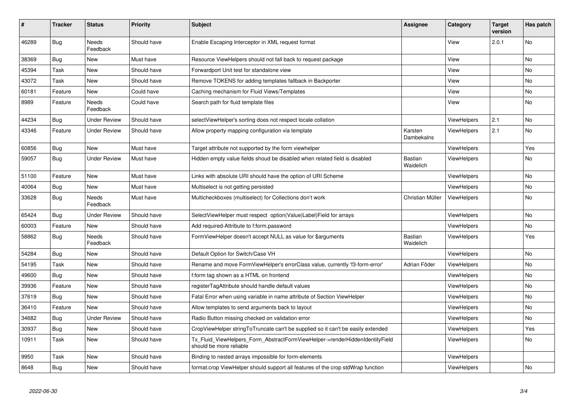| #     | <b>Tracker</b> | <b>Status</b>            | <b>Priority</b> | <b>Subject</b>                                                                                         | Assignee                    | Category           | <b>Target</b><br>version | Has patch      |
|-------|----------------|--------------------------|-----------------|--------------------------------------------------------------------------------------------------------|-----------------------------|--------------------|--------------------------|----------------|
| 46289 | Bug            | <b>Needs</b><br>Feedback | Should have     | Enable Escaping Interceptor in XML request format                                                      |                             | View               | 2.0.1                    | <b>No</b>      |
| 38369 | <b>Bug</b>     | <b>New</b>               | Must have       | Resource ViewHelpers should not fall back to request package                                           |                             | View               |                          | No             |
| 45394 | Task           | <b>New</b>               | Should have     | Forwardport Unit test for standalone view                                                              |                             | View               |                          | No             |
| 43072 | Task           | New                      | Should have     | Remove TOKENS for adding templates fallback in Backporter                                              |                             | View               |                          | No             |
| 60181 | Feature        | <b>New</b>               | Could have      | Caching mechanism for Fluid Views/Templates                                                            |                             | View               |                          | No             |
| 8989  | Feature        | <b>Needs</b><br>Feedback | Could have      | Search path for fluid template files                                                                   |                             | View               |                          | No             |
| 44234 | Bug            | <b>Under Review</b>      | Should have     | selectViewHelper's sorting does not respect locale collation                                           |                             | ViewHelpers        | 2.1                      | No             |
| 43346 | Feature        | <b>Under Review</b>      | Should have     | Allow property mapping configuration via template                                                      | Karsten<br>Dambekalns       | ViewHelpers        | 2.1                      | N <sub>o</sub> |
| 60856 | Bug            | <b>New</b>               | Must have       | Target attribute not supported by the form viewhelper                                                  |                             | <b>ViewHelpers</b> |                          | Yes            |
| 59057 | Bug            | <b>Under Review</b>      | Must have       | Hidden empty value fields shoud be disabled when related field is disabled                             | <b>Bastian</b><br>Waidelich | ViewHelpers        |                          | No             |
| 51100 | Feature        | New                      | Must have       | Links with absolute URI should have the option of URI Scheme                                           |                             | <b>ViewHelpers</b> |                          | No             |
| 40064 | Bug            | New                      | Must have       | Multiselect is not getting persisted                                                                   |                             | ViewHelpers        |                          | No             |
| 33628 | Bug            | <b>Needs</b><br>Feedback | Must have       | Multicheckboxes (multiselect) for Collections don't work                                               | Christian Müller            | <b>ViewHelpers</b> |                          | No             |
| 65424 | Bug            | <b>Under Review</b>      | Should have     | SelectViewHelper must respect option(Value Label)Field for arrays                                      |                             | <b>ViewHelpers</b> |                          | No             |
| 60003 | Feature        | New                      | Should have     | Add required-Attribute to f:form.password                                                              |                             | <b>ViewHelpers</b> |                          | No             |
| 58862 | Bug            | Needs<br>Feedback        | Should have     | FormViewHelper doesn't accept NULL as value for \$arguments                                            | Bastian<br>Waidelich        | <b>ViewHelpers</b> |                          | Yes            |
| 54284 | Bug            | New                      | Should have     | Default Option for Switch/Case VH                                                                      |                             | <b>ViewHelpers</b> |                          | No             |
| 54195 | Task           | New                      | Should have     | Rename and move FormViewHelper's errorClass value, currently 'f3-form-error'                           | Adrian Föder                | <b>ViewHelpers</b> |                          | No             |
| 49600 | Bug            | New                      | Should have     | f:form tag shown as a HTML on frontend                                                                 |                             | <b>ViewHelpers</b> |                          | No             |
| 39936 | Feature        | New                      | Should have     | registerTagAttribute should handle default values                                                      |                             | <b>ViewHelpers</b> |                          | No             |
| 37619 | Bug            | New                      | Should have     | Fatal Error when using variable in name attribute of Section ViewHelper                                |                             | <b>ViewHelpers</b> |                          | No             |
| 36410 | Feature        | New                      | Should have     | Allow templates to send arguments back to layout                                                       |                             | <b>ViewHelpers</b> |                          | No             |
| 34682 | Bug            | <b>Under Review</b>      | Should have     | Radio Button missing checked on validation error                                                       |                             | <b>ViewHelpers</b> |                          | No             |
| 30937 | Bug            | <b>New</b>               | Should have     | CropViewHelper stringToTruncate can't be supplied so it can't be easily extended                       |                             | ViewHelpers        |                          | Yes            |
| 10911 | Task           | <b>New</b>               | Should have     | Tx Fluid ViewHelpers Form AbstractFormViewHelper->renderHiddenIdentityField<br>should be more reliable |                             | <b>ViewHelpers</b> |                          | No             |
| 9950  | Task           | New                      | Should have     | Binding to nested arrays impossible for form-elements                                                  |                             | ViewHelpers        |                          |                |
| 8648  | Bug            | New                      | Should have     | format.crop ViewHelper should support all features of the crop stdWrap function                        |                             | ViewHelpers        |                          | No             |